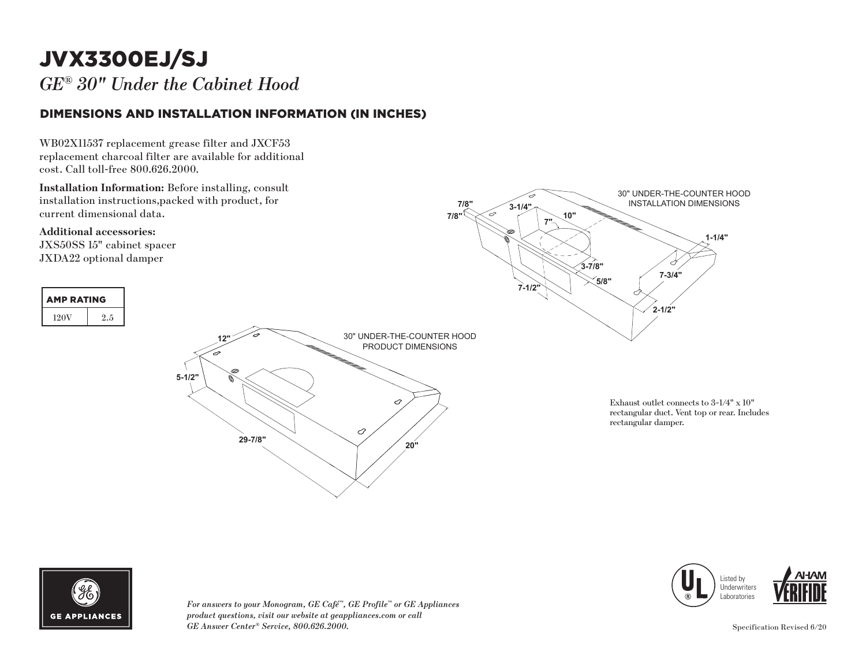## JVX3300EJ/SJ

*GE® 30" Under the Cabinet Hood* 

## DIMENSIONS AND INSTALLATION INFORMATION (IN INCHES)

WB02X11537 replacement grease filter and JXCF53 replacement charcoal filter are available for additional cost. Call toll-free 800.626.2000.

**Installation Information:** Before installing, consult installation instructions,packed with product, for current dimensional data.

**Additional accessories:** JXS50SS 15" cabinet spacer JXDA22 optional damper



**7"**

**10"**

**3-1/4"**

**7/8" 7/8"**



*For answers to your Monogram, GE Café™, GE Profile™ or GE Appliances product questions, visit our website at geappliances.com or call*  **3-7/8"** *GE Answer Center® Service, 800.626.2000.* **Specification Revised 6/20 7-3/4"**



**1-1/4"**

30" UNDER-THE-COUNTER HOOD INSTALLATION DIMENSIONS